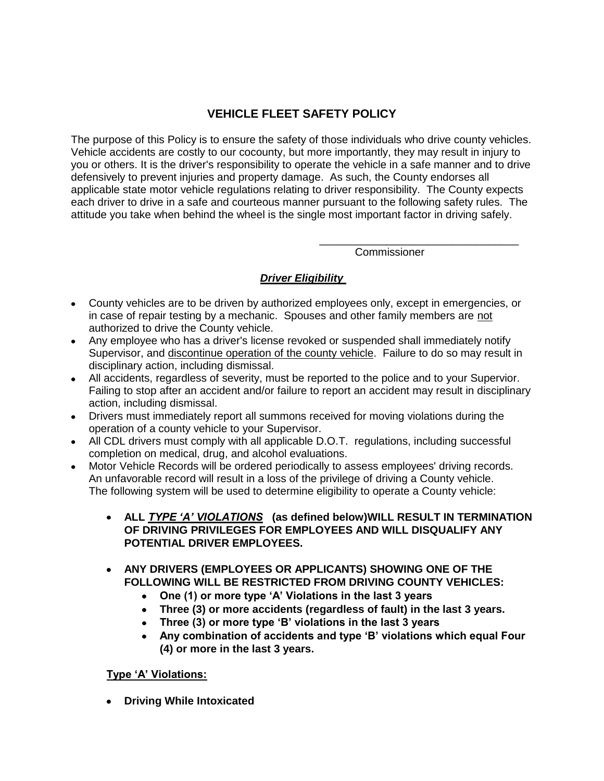## **VEHICLE FLEET SAFETY POLICY**

The purpose of this Policy is to ensure the safety of those individuals who drive county vehicles. Vehicle accidents are costly to our cocounty, but more importantly, they may result in injury to you or others. It is the driver's responsibility to operate the vehicle in a safe manner and to drive defensively to prevent injuries and property damage. As such, the County endorses all applicable state motor vehicle regulations relating to driver responsibility. The County expects each driver to drive in a safe and courteous manner pursuant to the following safety rules. The attitude you take when behind the wheel is the single most important factor in driving safely.

> \_\_\_\_\_\_\_\_\_\_\_\_\_\_\_\_\_\_\_\_\_\_\_\_\_\_\_\_\_\_\_\_\_ Commissioner

## *Driver Eligibility*

- County vehicles are to be driven by authorized employees only, except in emergencies, or in case of repair testing by a mechanic. Spouses and other family members are not authorized to drive the County vehicle.
- Any employee who has a driver's license revoked or suspended shall immediately notify Supervisor, and discontinue operation of the county vehicle. Failure to do so may result in disciplinary action, including dismissal.
- All accidents, regardless of severity, must be reported to the police and to your Supervior. Failing to stop after an accident and/or failure to report an accident may result in disciplinary action, including dismissal.
- Drivers must immediately report all summons received for moving violations during the operation of a county vehicle to your Supervisor.
- All CDL drivers must comply with all applicable D.O.T. regulations, including successful completion on medical, drug, and alcohol evaluations.
- Motor Vehicle Records will be ordered periodically to assess employees' driving records. An unfavorable record will result in a loss of the privilege of driving a County vehicle. The following system will be used to determine eligibility to operate a County vehicle:
	- **ALL** *TYPE 'A' VIOLATIONS* **(as defined below)WILL RESULT IN TERMINATION OF DRIVING PRIVILEGES FOR EMPLOYEES AND WILL DISQUALIFY ANY POTENTIAL DRIVER EMPLOYEES.**
	- **ANY DRIVERS (EMPLOYEES OR APPLICANTS) SHOWING ONE OF THE FOLLOWING WILL BE RESTRICTED FROM DRIVING COUNTY VEHICLES:**
		- **One (1) or more type 'A' Violations in the last 3 years**
		- **Three (3) or more accidents (regardless of fault) in the last 3 years.**
		- **Three (3) or more type 'B' violations in the last 3 years**
		- **Any combination of accidents and type 'B' violations which equal Four**   $\bullet$ **(4) or more in the last 3 years.**

**Type 'A' Violations:**

**Driving While Intoxicated**